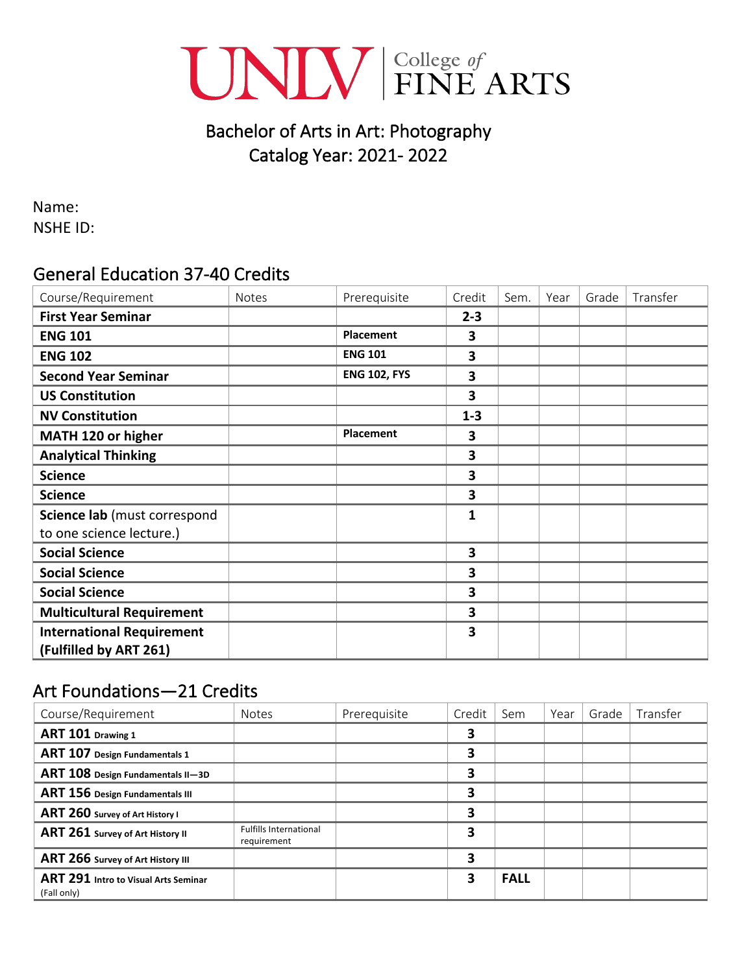

# Bachelor of Arts in Art: Photography Catalog Year: 2021- 2022

Name: NSHE ID:

### General Education 37-40 Credits

| Course/Requirement               | <b>Notes</b> | Prerequisite        | Credit       | Sem. | Year | Grade | Transfer |
|----------------------------------|--------------|---------------------|--------------|------|------|-------|----------|
| <b>First Year Seminar</b>        |              |                     | $2 - 3$      |      |      |       |          |
| <b>ENG 101</b>                   |              | Placement           | 3            |      |      |       |          |
| <b>ENG 102</b>                   |              | <b>ENG 101</b>      | 3            |      |      |       |          |
| <b>Second Year Seminar</b>       |              | <b>ENG 102, FYS</b> | 3            |      |      |       |          |
| <b>US Constitution</b>           |              |                     | 3            |      |      |       |          |
| <b>NV Constitution</b>           |              |                     | $1 - 3$      |      |      |       |          |
| MATH 120 or higher               |              | Placement           | 3            |      |      |       |          |
| <b>Analytical Thinking</b>       |              |                     | 3            |      |      |       |          |
| <b>Science</b>                   |              |                     | 3            |      |      |       |          |
| <b>Science</b>                   |              |                     | 3            |      |      |       |          |
| Science lab (must correspond     |              |                     | $\mathbf{1}$ |      |      |       |          |
| to one science lecture.)         |              |                     |              |      |      |       |          |
| <b>Social Science</b>            |              |                     | 3            |      |      |       |          |
| <b>Social Science</b>            |              |                     | 3            |      |      |       |          |
| <b>Social Science</b>            |              |                     | 3            |      |      |       |          |
| <b>Multicultural Requirement</b> |              |                     | 3            |      |      |       |          |
| <b>International Requirement</b> |              |                     | 3            |      |      |       |          |
| (Fulfilled by ART 261)           |              |                     |              |      |      |       |          |

### Art Foundations—21 Credits

| Course/Requirement                                  | <b>Notes</b>                                 | Prerequisite | Credit | Sem         | Year | Grade | Transfer |
|-----------------------------------------------------|----------------------------------------------|--------------|--------|-------------|------|-------|----------|
| ART 101 Drawing 1                                   |                                              |              | 3      |             |      |       |          |
| ART 107 Design Fundamentals 1                       |                                              |              | 3      |             |      |       |          |
| ART 108 Design Fundamentals II-3D                   |                                              |              | 3      |             |      |       |          |
| ART 156 Design Fundamentals III                     |                                              |              | 3      |             |      |       |          |
| ART 260 Survey of Art History I                     |                                              |              | 3      |             |      |       |          |
| ART 261 Survey of Art History II                    | <b>Fulfills International</b><br>requirement |              | 3      |             |      |       |          |
| ART 266 Survey of Art History III                   |                                              |              | 3      |             |      |       |          |
| ART 291 Intro to Visual Arts Seminar<br>(Fall only) |                                              |              | 3      | <b>FALL</b> |      |       |          |